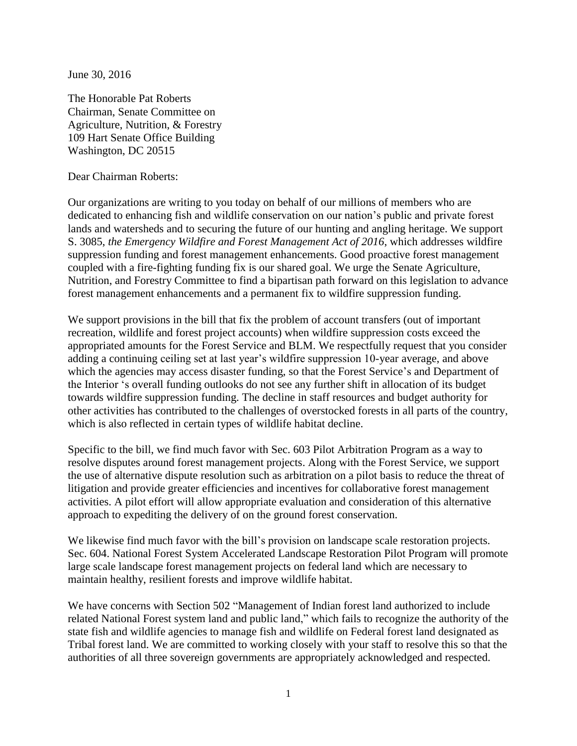June 30, 2016

The Honorable Pat Roberts Chairman, Senate Committee on Agriculture, Nutrition, & Forestry 109 Hart Senate Office Building Washington, DC 20515

Dear Chairman Roberts:

Our organizations are writing to you today on behalf of our millions of members who are dedicated to enhancing fish and wildlife conservation on our nation's public and private forest lands and watersheds and to securing the future of our hunting and angling heritage. We support S. 3085, *the Emergency Wildfire and Forest Management Act of 2016*, which addresses wildfire suppression funding and forest management enhancements. Good proactive forest management coupled with a fire-fighting funding fix is our shared goal. We urge the Senate Agriculture, Nutrition, and Forestry Committee to find a bipartisan path forward on this legislation to advance forest management enhancements and a permanent fix to wildfire suppression funding.

We support provisions in the bill that fix the problem of account transfers (out of important recreation, wildlife and forest project accounts) when wildfire suppression costs exceed the appropriated amounts for the Forest Service and BLM. We respectfully request that you consider adding a continuing ceiling set at last year's wildfire suppression 10-year average, and above which the agencies may access disaster funding, so that the Forest Service's and Department of the Interior 's overall funding outlooks do not see any further shift in allocation of its budget towards wildfire suppression funding. The decline in staff resources and budget authority for other activities has contributed to the challenges of overstocked forests in all parts of the country, which is also reflected in certain types of wildlife habitat decline.

Specific to the bill, we find much favor with Sec. 603 Pilot Arbitration Program as a way to resolve disputes around forest management projects. Along with the Forest Service, we support the use of alternative dispute resolution such as arbitration on a pilot basis to reduce the threat of litigation and provide greater efficiencies and incentives for collaborative forest management activities. A pilot effort will allow appropriate evaluation and consideration of this alternative approach to expediting the delivery of on the ground forest conservation.

We likewise find much favor with the bill's provision on landscape scale restoration projects. Sec. 604. National Forest System Accelerated Landscape Restoration Pilot Program will promote large scale landscape forest management projects on federal land which are necessary to maintain healthy, resilient forests and improve wildlife habitat.

We have concerns with Section 502 "Management of Indian forest land authorized to include related National Forest system land and public land," which fails to recognize the authority of the state fish and wildlife agencies to manage fish and wildlife on Federal forest land designated as Tribal forest land. We are committed to working closely with your staff to resolve this so that the authorities of all three sovereign governments are appropriately acknowledged and respected.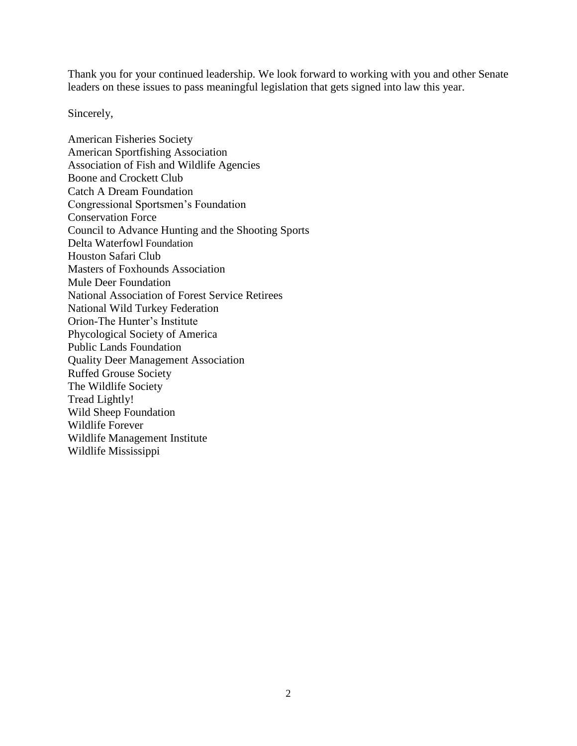Thank you for your continued leadership. We look forward to working with you and other Senate leaders on these issues to pass meaningful legislation that gets signed into law this year.

Sincerely,

American Fisheries Society American Sportfishing Association Association of Fish and Wildlife Agencies Boone and Crockett Club Catch A Dream Foundation Congressional Sportsmen's Foundation Conservation Force Council to Advance Hunting and the Shooting Sports Delta Waterfowl Foundation Houston Safari Club Masters of Foxhounds Association Mule Deer Foundation National Association of Forest Service Retirees National Wild Turkey Federation Orion-The Hunter's Institute Phycological Society of America Public Lands Foundation Quality Deer Management Association Ruffed Grouse Society The Wildlife Society Tread Lightly! Wild Sheep Foundation Wildlife Forever Wildlife Management Institute Wildlife Mississippi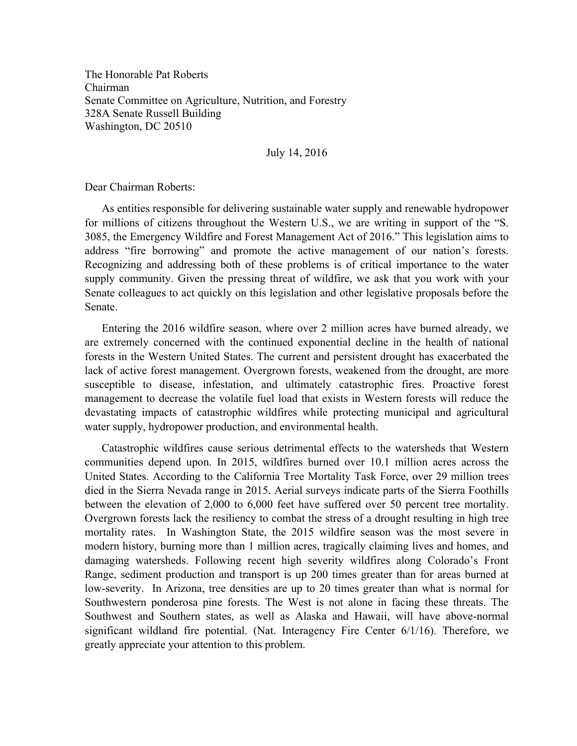The Honorable Pat Roberts Chairman Senate Committee on Agriculture, Nutrition, and Forestry 328A Senate Russell Building Washington, DC 20510

July 14, 2016

Dear Chairman Roberts:

As entities responsible for delivering sustainable water supply and renewable hydropower for millions of citizens throughout the Western U.S., we are writing in support of the "S. 3085, the Emergency Wildfire and Forest Management Act of 2016." This legislation aims to address "fire borrowing" and promote the active management of our nation's forests. Recognizing and addressing both of these problems is of critical importance to the water supply community. Given the pressing threat of wildfire, we ask that you work with your Senate colleagues to act quickly on this legislation and other legislative proposals before the Senate.

Entering the 2016 wildfire season, where over 2 million acres have burned already, we are extremely concerned with the continued exponential decline in the health of national forests in the Western United States. The current and persistent drought has exacerbated the lack of active forest management. Overgrown forests, weakened from the drought, are more susceptible to disease, infestation, and ultimately catastrophic fires. Proactive forest management to decrease the volatile fuel load that exists in Western forests will reduce the devastating impacts of catastrophic wildfires while protecting municipal and agricultural water supply, hydropower production, and environmental health.

Catastrophic wildfires cause serious detrimental effects to the watersheds that Western communities depend upon. In 2015, wildfires burned over 10.1 million acres across the United States. According to the California Tree Mortality Task Force, over 29 million trees died in the Sierra Nevada range in 2015. Aerial surveys indicate parts of the Sierra Foothills between the elevation of 2,000 to 6,000 feet have suffered over 50 percent tree mortality. Overgrown forests lack the resiliency to combat the stress of a drought resulting in high tree mortality rates. In Washington State, the 2015 wildfire season was the most severe in modern history, burning more than 1 million acres, tragically claiming lives and homes, and damaging watersheds. Following recent high severity wildfires along Colorado's Front Range, sediment production and transport is up 200 times greater than for areas burned at low-severity. In Arizona, tree densities are up to 20 times greater than what is normal for Southwestern ponderosa pine forests. The West is not alone in facing these threats. The Southwest and Southern states, as well as Alaska and Hawaii, will have above-normal significant wildland fire potential. (Nat. Interagency Fire Center  $6/1/16$ ). Therefore, we greatly appreciate your attention to this problem.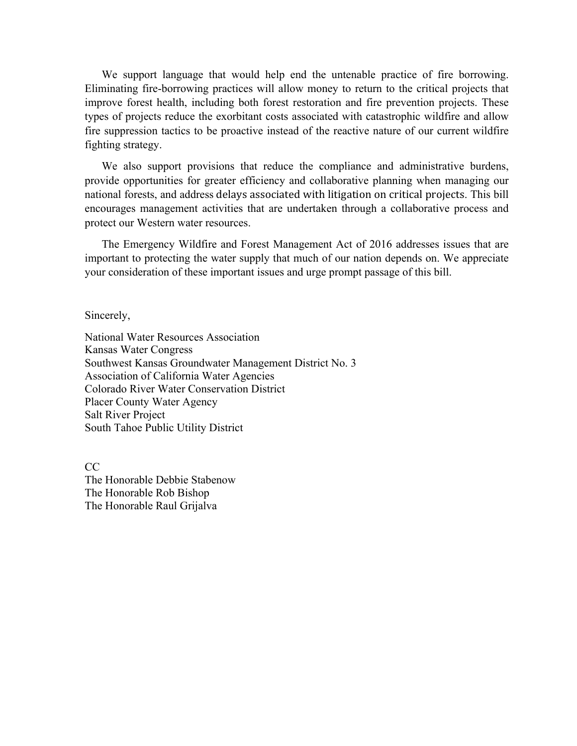We support language that would help end the untenable practice of fire borrowing. Eliminating fire-borrowing practices will allow money to return to the critical projects that improve forest health, including both forest restoration and fire prevention projects. These types of projects reduce the exorbitant costs associated with catastrophic wildfire and allow fire suppression tactics to be proactive instead of the reactive nature of our current wildfire fighting strategy.

We also support provisions that reduce the compliance and administrative burdens, provide opportunities for greater efficiency and collaborative planning when managing our national forests, and address delays associated with litigation on critical projects. This bill encourages management activities that are undertaken through a collaborative process and protect our Western water resources.

The Emergency Wildfire and Forest Management Act of 2016 addresses issues that are important to protecting the water supply that much of our nation depends on. We appreciate your consideration of these important issues and urge prompt passage of this bill.

Sincerely,

National Water Resources Association Kansas Water Congress Southwest Kansas Groundwater Management District No. 3 Association of California Water Agencies Colorado River Water Conservation District Placer County Water Agency Salt River Project South Tahoe Public Utility District

 $CC$ The Honorable Debbie Stabenow The Honorable Rob Bishop The Honorable Raul Grijalva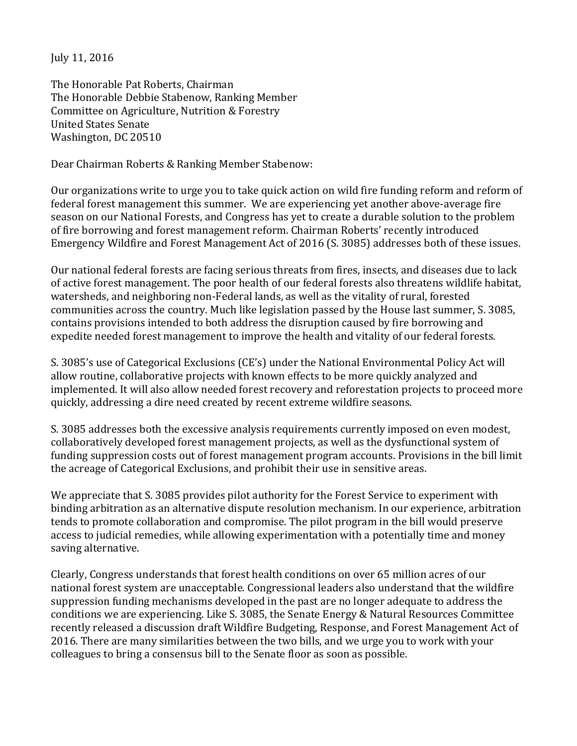July 11, 2016

The Honorable Pat Roberts, Chairman The Honorable Debbie Stabenow, Ranking Member Committee on Agriculture, Nutrition & Forestry United States Senate Washington, DC 20510

Dear Chairman Roberts & Ranking Member Stabenow:

Our organizations write to urge you to take quick action on wild fire funding reform and reform of federal forest management this summer. We are experiencing yet another above-average fire season on our National Forests, and Congress has yet to create a durable solution to the problem of fire borrowing and forest management reform. Chairman Roberts' recently introduced Emergency Wildfire and Forest Management Act of 2016 (S. 3085) addresses both of these issues.

Our national federal forests are facing serious threats from fires, insects, and diseases due to lack of active forest management. The poor health of our federal forests also threatens wildlife habitat, watersheds, and neighboring non-Federal lands, as well as the vitality of rural, forested communities across the country. Much like legislation passed by the House last summer, S. 3085, contains provisions intended to both address the disruption caused by fire borrowing and expedite needed forest management to improve the health and vitality of our federal forests.

S. 3085's use of Categorical Exclusions (CE's) under the National Environmental Policy Act will allow routine, collaborative projects with known effects to be more quickly analyzed and implemented. It will also allow needed forest recovery and reforestation projects to proceed more quickly, addressing a dire need created by recent extreme wildfire seasons.

S. 3085 addresses both the excessive analysis requirements currently imposed on even modest, collaboratively developed forest management projects, as well as the dysfunctional system of funding suppression costs out of forest management program accounts. Provisions in the bill limit the acreage of Categorical Exclusions, and prohibit their use in sensitive areas.

We appreciate that S. 3085 provides pilot authority for the Forest Service to experiment with binding arbitration as an alternative dispute resolution mechanism. In our experience, arbitration tends to promote collaboration and compromise. The pilot program in the bill would preserve access to judicial remedies, while allowing experimentation with a potentially time and money saving alternative.

Clearly, Congress understands that forest health conditions on over 65 million acres of our national forest system are unacceptable. Congressional leaders also understand that the wildfire suppression funding mechanisms developed in the past are no longer adequate to address the conditions we are experiencing. Like S. 3085, the Senate Energy & Natural Resources Committee recently released a discussion draft Wildfire Budgeting, Response, and Forest Management Act of 2016. There are many similarities between the two bills, and we urge you to work with your colleagues to bring a consensus bill to the Senate floor as soon as possible.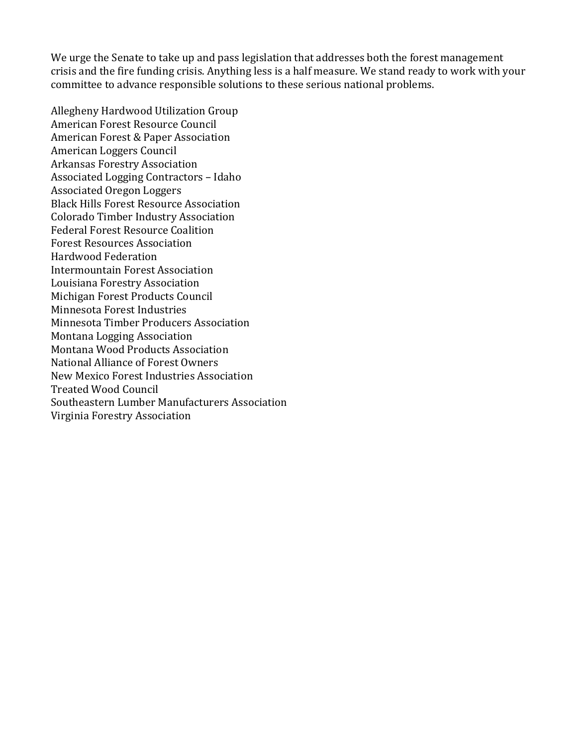We urge the Senate to take up and pass legislation that addresses both the forest management crisis and the fire funding crisis. Anything less is a half measure. We stand ready to work with your committee to advance responsible solutions to these serious national problems.

Allegheny Hardwood Utilization Group American Forest Resource Council American Forest & Paper Association American Loggers Council Arkansas Forestry Association Associated Logging Contractors – Idaho Associated Oregon Loggers Black Hills Forest Resource Association Colorado Timber Industry Association Federal Forest Resource Coalition Forest Resources Association Hardwood Federation Intermountain Forest Association Louisiana Forestry Association Michigan Forest Products Council Minnesota Forest Industries Minnesota Timber Producers Association Montana Logging Association Montana Wood Products Association National Alliance of Forest Owners New Mexico Forest Industries Association Treated Wood Council Southeastern Lumber Manufacturers Association Virginia Forestry Association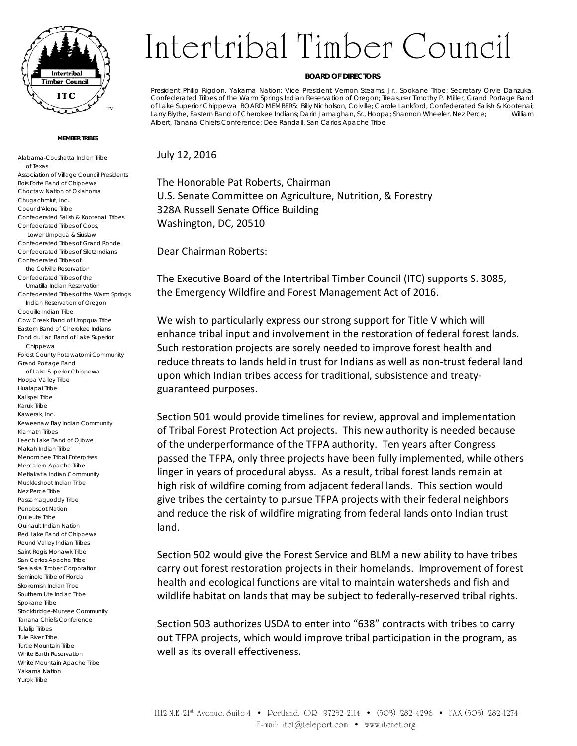

#### **MEMBER TRIBES**

Alabama-Coushatta Indian Tribe of Texas Association of Village Council Presidents Bois Forte Band of Chippewa Choctaw Nation of Oklahoma Chugachmiut, Inc. Coeur d'Alene Tribe Confederated Salish & Kootenai Tribes Confederated Tribes of Coos, Lower Umpqua & Siuslaw Confederated Tribes of Grand Ronde Confederated Tribes of Siletz Indians Confederated Tribes of the Colville Reservation Confederated Tribes of the Umatilla Indian Reservation Confederated Tribes of the Warm Springs Indian Reservation of Oregon Coquille Indian Tribe Cow Creek Band of Umpqua Tribe Eastern Band of Cherokee Indians Fond du Lac Band of Lake Superior Chippewa Forest County Potawatomi Community Grand Portage Band of Lake Superior Chippewa Hoopa Valley Tribe Hualapai Tribe Kalispel Tribe Karuk Tribe Kawerak, Inc. Keweenaw Bay Indian Community Klamath Tribes Leech Lake Band of Ojibwe Makah Indian Tribe Menominee Tribal Enterprises Mescalero Apache Tribe Metlakatla Indian Community Muckleshoot Indian Tribe Nez Perce Tribe Passamaquoddy Tribe Penobscot Nation Quileute Tribe Quinault Indian Nation Red Lake Band of Chippewa Round Valley Indian Tribes Saint Regis Mohawk Tribe San Carlos Apache Tribe Sealaska Timber Corporation Seminole Tribe of Florida Skokomish Indian Tribe Southern Ute Indian Tribe Spokane Tribe Stockbridge-Munsee Community Tanana Chiefs Conference Tulalip Tribes Tule River Tribe Turtle Mountain Tribe White Earth Reservation White Mountain Apache Tribe Yakama Nation Yurok Tribe

# Intertribal Timber Council

#### **BOARD OF DIRECTORS**

President Philip Rigdon, Yakama Nation; Vice President Vernon Stearns, Jr., Spokane Tribe; Secretary Orvie Danzuka, Confederated Tribes of the Warm Springs Indian Reservation of Oregon; Treasurer Timothy P. Miller, Grand Portage Band of Lake Superior Chippewa BOARD MEMBERS: Billy Nicholson, Colville; Carole Lankford, Confederated Salish & Kootenai; Larry Blythe, Eastern Band of Cherokee Indians; Darin Jarnaghan, Sr., Hoopa; Shannon Wheeler, Nez Perce; William Albert, Tanana Chiefs Conference; Dee Randall, San Carlos Apache Tribe

July 12, 2016

The Honorable Pat Roberts, Chairman U.S. Senate Committee on Agriculture, Nutrition, & Forestry 328A Russell Senate Office Building Washington, DC, 20510

Dear Chairman Roberts:

The Executive Board of the Intertribal Timber Council (ITC) supports S. 3085, the Emergency Wildfire and Forest Management Act of 2016.

We wish to particularly express our strong support for Title V which will enhance tribal input and involvement in the restoration of federal forest lands. Such restoration projects are sorely needed to improve forest health and reduce threats to lands held in trust for Indians as well as non-trust federal land upon which Indian tribes access for traditional, subsistence and treatyguaranteed purposes.

Section 501 would provide timelines for review, approval and implementation of Tribal Forest Protection Act projects. This new authority is needed because of the underperformance of the TFPA authority. Ten years after Congress passed the TFPA, only three projects have been fully implemented, while others linger in years of procedural abyss. As a result, tribal forest lands remain at high risk of wildfire coming from adjacent federal lands. This section would give tribes the certainty to pursue TFPA projects with their federal neighbors and reduce the risk of wildfire migrating from federal lands onto Indian trust land.

Section 502 would give the Forest Service and BLM a new ability to have tribes carry out forest restoration projects in their homelands. Improvement of forest health and ecological functions are vital to maintain watersheds and fish and wildlife habitat on lands that may be subject to federally-reserved tribal rights.

Section 503 authorizes USDA to enter into "638" contracts with tribes to carry out TFPA projects, which would improve tribal participation in the program, as well as its overall effectiveness.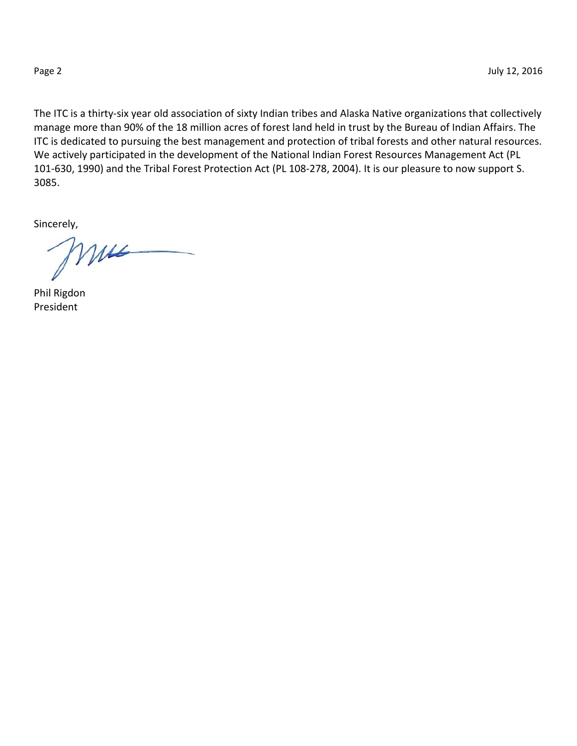The ITC is a thirty-six year old association of sixty Indian tribes and Alaska Native organizations that collectively manage more than 90% of the 18 million acres of forest land held in trust by the Bureau of Indian Affairs. The ITC is dedicated to pursuing the best management and protection of tribal forests and other natural resources. We actively participated in the development of the National Indian Forest Resources Management Act (PL 101-630, 1990) and the Tribal Forest Protection Act (PL 108-278, 2004). It is our pleasure to now support S. 3085.

Sincerely,

mus

Phil Rigdon President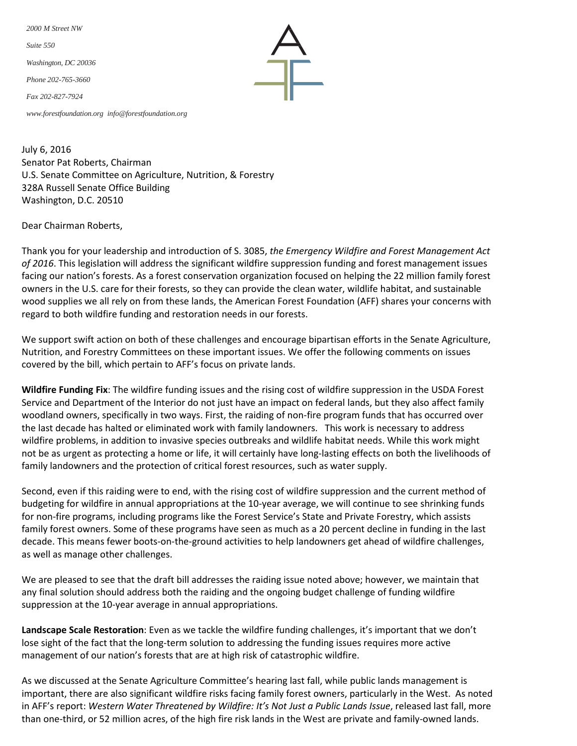*2000 M Street NW Suite 550 Washington, DC 20036 Phone 202-765-3660 Fax 202-827-7924*

*[www.forestfoundation.org](http://www.forestfoundation.org/) [info@forestfoundation.org](mailto:info@forestfoundation.org)*

July 6, 2016 Senator Pat Roberts, Chairman U.S. Senate Committee on Agriculture, Nutrition, & Forestry 328A Russell Senate Office Building Washington, D.C. 20510

Dear Chairman Roberts,

Thank you for your leadership and introduction of S. 3085, *the Emergency Wildfire and Forest Management Act of 2016*. This legislation will address the significant wildfire suppression funding and forest management issues facing our nation's forests. As a forest conservation organization focused on helping the 22 million family forest owners in the U.S. care for their forests, so they can provide the clean water, wildlife habitat, and sustainable wood supplies we all rely on from these lands, the American Forest Foundation (AFF) shares your concerns with regard to both wildfire funding and restoration needs in our forests.

We support swift action on both of these challenges and encourage bipartisan efforts in the Senate Agriculture, Nutrition, and Forestry Committees on these important issues. We offer the following comments on issues covered by the bill, which pertain to AFF's focus on private lands.

**Wildfire Funding Fix**: The wildfire funding issues and the rising cost of wildfire suppression in the USDA Forest Service and Department of the Interior do not just have an impact on federal lands, but they also affect family woodland owners, specifically in two ways. First, the raiding of non-fire program funds that has occurred over the last decade has halted or eliminated work with family landowners. This work is necessary to address wildfire problems, in addition to invasive species outbreaks and wildlife habitat needs. While this work might not be as urgent as protecting a home or life, it will certainly have long-lasting effects on both the livelihoods of family landowners and the protection of critical forest resources, such as water supply.

Second, even if this raiding were to end, with the rising cost of wildfire suppression and the current method of budgeting for wildfire in annual appropriations at the 10-year average, we will continue to see shrinking funds for non-fire programs, including programs like the Forest Service's State and Private Forestry, which assists family forest owners. Some of these programs have seen as much as a 20 percent decline in funding in the last decade. This means fewer boots-on-the-ground activities to help landowners get ahead of wildfire challenges, as well as manage other challenges.

We are pleased to see that the draft bill addresses the raiding issue noted above; however, we maintain that any final solution should address both the raiding and the ongoing budget challenge of funding wildfire suppression at the 10-year average in annual appropriations.

**Landscape Scale Restoration**: Even as we tackle the wildfire funding challenges, it's important that we don't lose sight of the fact that the long-term solution to addressing the funding issues requires more active management of our nation's forests that are at high risk of catastrophic wildfire.

As we discussed at the Senate Agriculture Committee's hearing last fall, while public lands management is important, there are also significant wildfire risks facing family forest owners, particularly in the West. As noted in AFF's report: *Western Water Threatened by Wildfire: It's Not Just a Public Lands Issue*, released last fall, more than one-third, or 52 million acres, of the high fire risk lands in the West are private and family-owned lands.

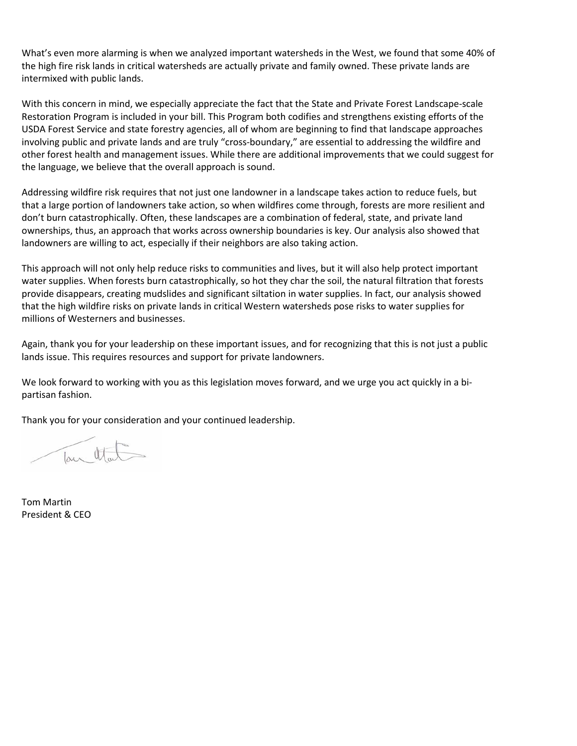What's even more alarming is when we analyzed important watersheds in the West, we found that some 40% of the high fire risk lands in critical watersheds are actually private and family owned. These private lands are intermixed with public lands.

With this concern in mind, we especially appreciate the fact that the State and Private Forest Landscape-scale Restoration Program is included in your bill. This Program both codifies and strengthens existing efforts of the USDA Forest Service and state forestry agencies, all of whom are beginning to find that landscape approaches involving public and private lands and are truly "cross-boundary," are essential to addressing the wildfire and other forest health and management issues. While there are additional improvements that we could suggest for the language, we believe that the overall approach is sound.

Addressing wildfire risk requires that not just one landowner in a landscape takes action to reduce fuels, but that a large portion of landowners take action, so when wildfires come through, forests are more resilient and don't burn catastrophically. Often, these landscapes are a combination of federal, state, and private land ownerships, thus, an approach that works across ownership boundaries is key. Our analysis also showed that landowners are willing to act, especially if their neighbors are also taking action.

This approach will not only help reduce risks to communities and lives, but it will also help protect important water supplies. When forests burn catastrophically, so hot they char the soil, the natural filtration that forests provide disappears, creating mudslides and significant siltation in water supplies. In fact, our analysis showed that the high wildfire risks on private lands in critical Western watersheds pose risks to water supplies for millions of Westerners and businesses.

Again, thank you for your leadership on these important issues, and for recognizing that this is not just a public lands issue. This requires resources and support for private landowners.

We look forward to working with you as this legislation moves forward, and we urge you act quickly in a bipartisan fashion.

Thank you for your consideration and your continued leadership.

Tour Otal

Tom Martin President & CEO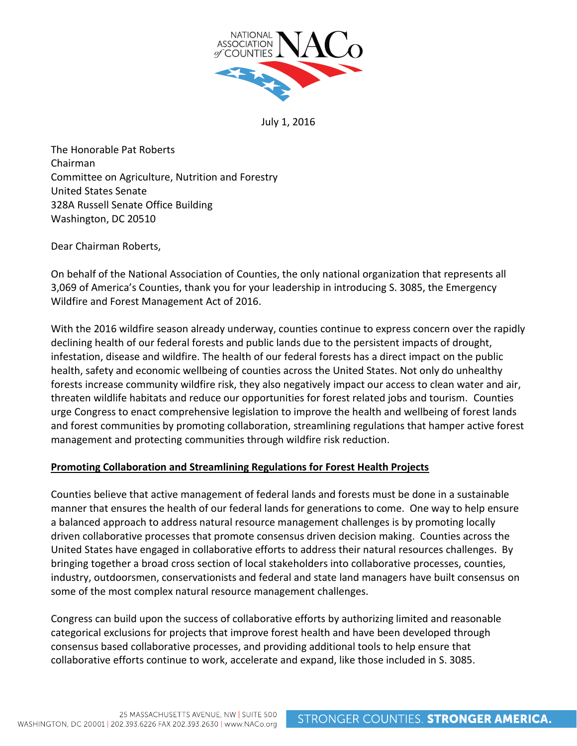

July 1, 2016

The Honorable Pat Roberts Chairman Committee on Agriculture, Nutrition and Forestry United States Senate 328A Russell Senate Office Building Washington, DC 20510

Dear Chairman Roberts,

On behalf of the National Association of Counties, the only national organization that represents all 3,069 of America's Counties, thank you for your leadership in introducing S. 3085, the Emergency Wildfire and Forest Management Act of 2016.

With the 2016 wildfire season already underway, counties continue to express concern over the rapidly declining health of our federal forests and public lands due to the persistent impacts of drought, infestation, disease and wildfire. The health of our federal forests has a direct impact on the public health, safety and economic wellbeing of counties across the United States. Not only do unhealthy forests increase community wildfire risk, they also negatively impact our access to clean water and air, threaten wildlife habitats and reduce our opportunities for forest related jobs and tourism. Counties urge Congress to enact comprehensive legislation to improve the health and wellbeing of forest lands and forest communities by promoting collaboration, streamlining regulations that hamper active forest management and protecting communities through wildfire risk reduction.

## **Promoting Collaboration and Streamlining Regulations for Forest Health Projects**

Counties believe that active management of federal lands and forests must be done in a sustainable manner that ensures the health of our federal lands for generations to come. One way to help ensure a balanced approach to address natural resource management challenges is by promoting locally driven collaborative processes that promote consensus driven decision making. Counties across the United States have engaged in collaborative efforts to address their natural resources challenges. By bringing together a broad cross section of local stakeholders into collaborative processes, counties, industry, outdoorsmen, conservationists and federal and state land managers have built consensus on some of the most complex natural resource management challenges.

Congress can build upon the success of collaborative efforts by authorizing limited and reasonable categorical exclusions for projects that improve forest health and have been developed through consensus based collaborative processes, and providing additional tools to help ensure that collaborative efforts continue to work, accelerate and expand, like those included in S. 3085.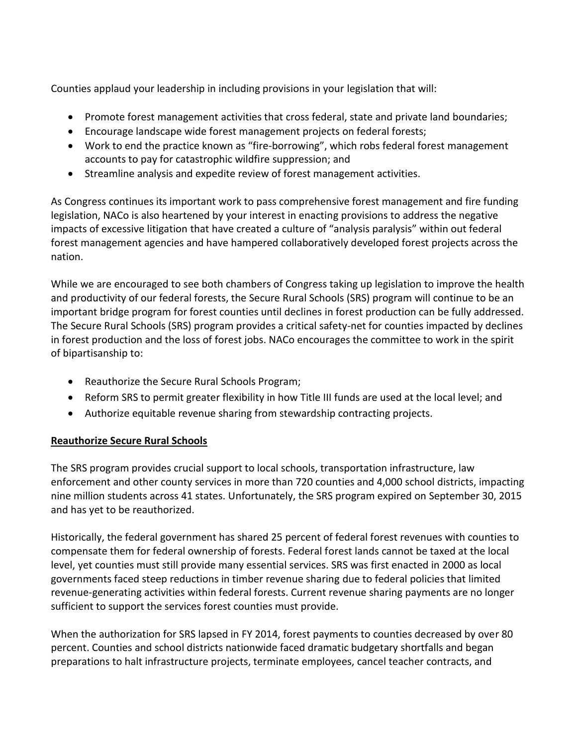Counties applaud your leadership in including provisions in your legislation that will:

- Promote forest management activities that cross federal, state and private land boundaries;
- Encourage landscape wide forest management projects on federal forests;
- Work to end the practice known as "fire-borrowing", which robs federal forest management accounts to pay for catastrophic wildfire suppression; and
- Streamline analysis and expedite review of forest management activities.

As Congress continues its important work to pass comprehensive forest management and fire funding legislation, NACo is also heartened by your interest in enacting provisions to address the negative impacts of excessive litigation that have created a culture of "analysis paralysis" within out federal forest management agencies and have hampered collaboratively developed forest projects across the nation.

While we are encouraged to see both chambers of Congress taking up legislation to improve the health and productivity of our federal forests, the Secure Rural Schools (SRS) program will continue to be an important bridge program for forest counties until declines in forest production can be fully addressed. The Secure Rural Schools (SRS) program provides a critical safety-net for counties impacted by declines in forest production and the loss of forest jobs. NACo encourages the committee to work in the spirit of bipartisanship to:

- Reauthorize the Secure Rural Schools Program;
- Reform SRS to permit greater flexibility in how Title III funds are used at the local level; and
- Authorize equitable revenue sharing from stewardship contracting projects.

## **Reauthorize Secure Rural Schools**

The SRS program provides crucial support to local schools, transportation infrastructure, law enforcement and other county services in more than 720 counties and 4,000 school districts, impacting nine million students across 41 states. Unfortunately, the SRS program expired on September 30, 2015 and has yet to be reauthorized.

Historically, the federal government has shared 25 percent of federal forest revenues with counties to compensate them for federal ownership of forests. Federal forest lands cannot be taxed at the local level, yet counties must still provide many essential services. SRS was first enacted in 2000 as local governments faced steep reductions in timber revenue sharing due to federal policies that limited revenue-generating activities within federal forests. Current revenue sharing payments are no longer sufficient to support the services forest counties must provide.

When the authorization for SRS lapsed in FY 2014, forest payments to counties decreased by over 80 percent. Counties and school districts nationwide faced dramatic budgetary shortfalls and began preparations to halt infrastructure projects, terminate employees, cancel teacher contracts, and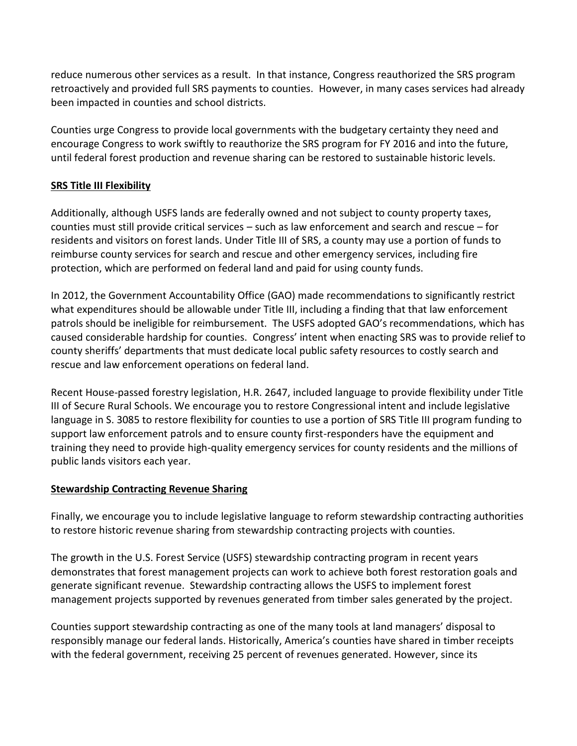reduce numerous other services as a result. In that instance, Congress reauthorized the SRS program retroactively and provided full SRS payments to counties. However, in many cases services had already been impacted in counties and school districts.

Counties urge Congress to provide local governments with the budgetary certainty they need and encourage Congress to work swiftly to reauthorize the SRS program for FY 2016 and into the future, until federal forest production and revenue sharing can be restored to sustainable historic levels.

## **SRS Title III Flexibility**

Additionally, although USFS lands are federally owned and not subject to county property taxes, counties must still provide critical services – such as law enforcement and search and rescue – for residents and visitors on forest lands. Under Title III of SRS, a county may use a portion of funds to reimburse county services for search and rescue and other emergency services, including fire protection, which are performed on federal land and paid for using county funds.

In 2012, the Government Accountability Office (GAO) made recommendations to significantly restrict what expenditures should be allowable under Title III, including a finding that that law enforcement patrols should be ineligible for reimbursement. The USFS adopted GAO's recommendations, which has caused considerable hardship for counties. Congress' intent when enacting SRS was to provide relief to county sheriffs' departments that must dedicate local public safety resources to costly search and rescue and law enforcement operations on federal land.

Recent House-passed forestry legislation, H.R. 2647, included language to provide flexibility under Title III of Secure Rural Schools. We encourage you to restore Congressional intent and include legislative language in S. 3085 to restore flexibility for counties to use a portion of SRS Title III program funding to support law enforcement patrols and to ensure county first-responders have the equipment and training they need to provide high-quality emergency services for county residents and the millions of public lands visitors each year.

## **Stewardship Contracting Revenue Sharing**

Finally, we encourage you to include legislative language to reform stewardship contracting authorities to restore historic revenue sharing from stewardship contracting projects with counties.

The growth in the U.S. Forest Service (USFS) stewardship contracting program in recent years demonstrates that forest management projects can work to achieve both forest restoration goals and generate significant revenue. Stewardship contracting allows the USFS to implement forest management projects supported by revenues generated from timber sales generated by the project.

Counties support stewardship contracting as one of the many tools at land managers' disposal to responsibly manage our federal lands. Historically, America's counties have shared in timber receipts with the federal government, receiving 25 percent of revenues generated. However, since its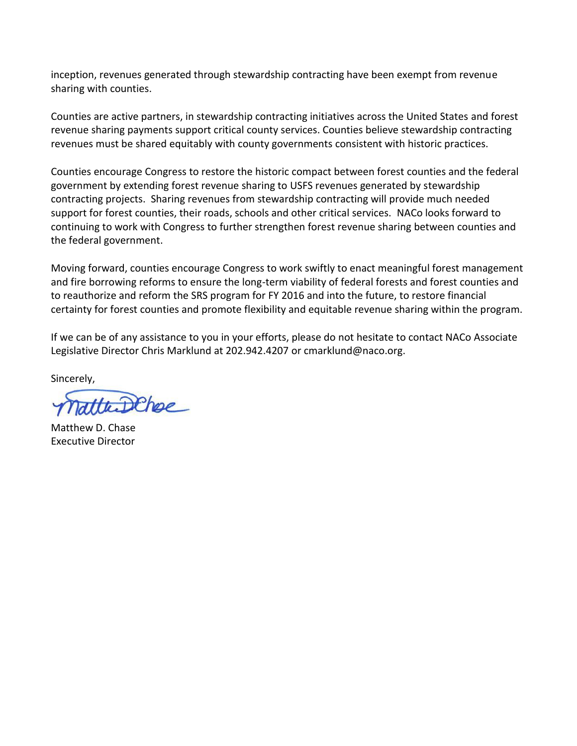inception, revenues generated through stewardship contracting have been exempt from revenue sharing with counties.

Counties are active partners, in stewardship contracting initiatives across the United States and forest revenue sharing payments support critical county services. Counties believe stewardship contracting revenues must be shared equitably with county governments consistent with historic practices.

Counties encourage Congress to restore the historic compact between forest counties and the federal government by extending forest revenue sharing to USFS revenues generated by stewardship contracting projects. Sharing revenues from stewardship contracting will provide much needed support for forest counties, their roads, schools and other critical services. NACo looks forward to continuing to work with Congress to further strengthen forest revenue sharing between counties and the federal government.

Moving forward, counties encourage Congress to work swiftly to enact meaningful forest management and fire borrowing reforms to ensure the long-term viability of federal forests and forest counties and to reauthorize and reform the SRS program for FY 2016 and into the future, to restore financial certainty for forest counties and promote flexibility and equitable revenue sharing within the program.

If we can be of any assistance to you in your efforts, please do not hesitate to contact NACo Associate Legislative Director Chris Marklund at 202.942.4207 or cmarklund@naco.org.

Sincerely,

atthe DChee

Matthew D. Chase Executive Director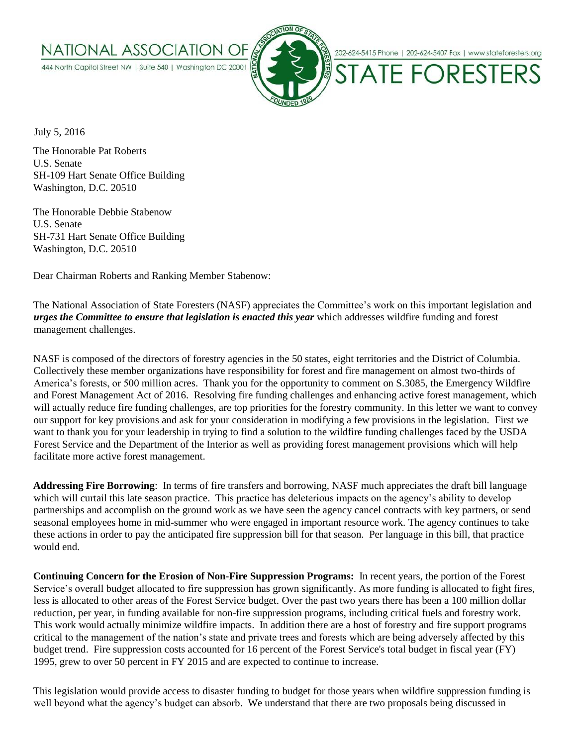



202-624-5415 Phone | 202-624-5407 Fax | www.stateforesters.org

**STATE FORESTERS** 

July 5, 2016

The Honorable Pat Roberts U.S. Senate SH-109 Hart Senate Office Building Washington, D.C. 20510

The Honorable Debbie Stabenow U.S. Senate SH-731 Hart Senate Office Building Washington, D.C. 20510

Dear Chairman Roberts and Ranking Member Stabenow:

The National Association of State Foresters (NASF) appreciates the Committee's work on this important legislation and *urges the Committee to ensure that legislation is enacted this year* which addresses wildfire funding and forest management challenges.

NASF is composed of the directors of forestry agencies in the 50 states, eight territories and the District of Columbia. Collectively these member organizations have responsibility for forest and fire management on almost two-thirds of America's forests, or 500 million acres. Thank you for the opportunity to comment on S.3085, the Emergency Wildfire and Forest Management Act of 2016. Resolving fire funding challenges and enhancing active forest management, which will actually reduce fire funding challenges, are top priorities for the forestry community. In this letter we want to convey our support for key provisions and ask for your consideration in modifying a few provisions in the legislation. First we want to thank you for your leadership in trying to find a solution to the wildfire funding challenges faced by the USDA Forest Service and the Department of the Interior as well as providing forest management provisions which will help facilitate more active forest management.

**Addressing Fire Borrowing**: In terms of fire transfers and borrowing, NASF much appreciates the draft bill language which will curtail this late season practice. This practice has deleterious impacts on the agency's ability to develop partnerships and accomplish on the ground work as we have seen the agency cancel contracts with key partners, or send seasonal employees home in mid-summer who were engaged in important resource work. The agency continues to take these actions in order to pay the anticipated fire suppression bill for that season. Per language in this bill, that practice would end.

**Continuing Concern for the Erosion of Non-Fire Suppression Programs:** In recent years, the portion of the Forest Service's overall budget allocated to fire suppression has grown significantly. As more funding is allocated to fight fires, less is allocated to other areas of the Forest Service budget. Over the past two years there has been a 100 million dollar reduction, per year, in funding available for non-fire suppression programs, including critical fuels and forestry work. This work would actually minimize wildfire impacts. In addition there are a host of forestry and fire support programs critical to the management of the nation's state and private trees and forests which are being adversely affected by this budget trend. Fire suppression costs accounted for 16 percent of the Forest Service's total budget in fiscal year (FY) 1995, grew to over 50 percent in FY 2015 and are expected to continue to increase.

This legislation would provide access to disaster funding to budget for those years when wildfire suppression funding is well beyond what the agency's budget can absorb. We understand that there are two proposals being discussed in